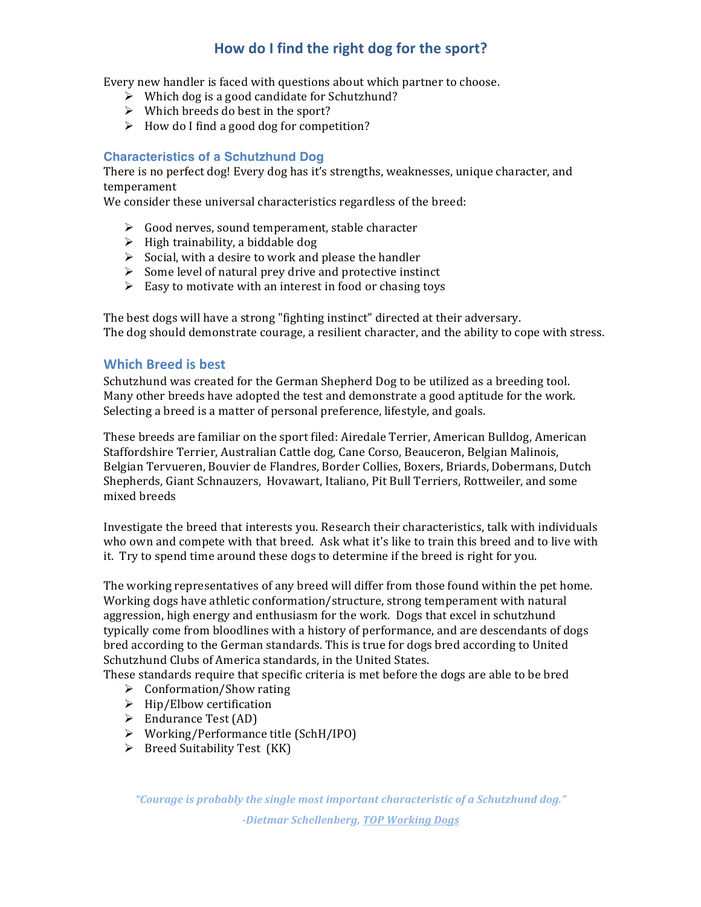## How do I find the right dog for the sport?

Every new handler is faced with questions about which partner to choose.

- $\triangleright$  Which dog is a good candidate for Schutzhund?
- $\triangleright$  Which breeds do best in the sport?
- $\triangleright$  How do I find a good dog for competition?

## **Characteristics of a Schutzhund Dog**

There is no perfect dog! Every dog has it's strengths, weaknesses, unique character, and temperament

We consider these universal characteristics regardless of the breed:

- $\triangleright$  Good nerves, sound temperament, stable character
- $\triangleright$  High trainability, a biddable dog
- $\triangleright$  Social, with a desire to work and please the handler
- $\triangleright$  Some level of natural prey drive and protective instinct
- $\triangleright$  Easy to motivate with an interest in food or chasing toys

The best dogs will have a strong "fighting instinct" directed at their adversary. The dog should demonstrate courage, a resilient character, and the ability to cope with stress.

## **Which Breed is best**

Schutzhund was created for the German Shepherd Dog to be utilized as a breeding tool. Many other breeds have adopted the test and demonstrate a good aptitude for the work. Selecting a breed is a matter of personal preference, lifestyle, and goals.

These breeds are familiar on the sport filed: Airedale Terrier, American Bulldog, American Staffordshire Terrier, Australian Cattle dog, Cane Corso, Beauceron, Belgian Malinois, Belgian Tervueren, Bouvier de Flandres, Border Collies, Boxers, Briards, Dobermans, Dutch Shepherds, Giant Schnauzers, Hovawart, Italiano, Pit Bull Terriers, Rottweiler, and some mixed breeds 

Investigate the breed that interests you. Research their characteristics, talk with individuals who own and compete with that breed. Ask what it's like to train this breed and to live with it. Try to spend time around these dogs to determine if the breed is right for you.

The working representatives of any breed will differ from those found within the pet home. Working dogs have athletic conformation/structure, strong temperament with natural aggression, high energy and enthusiasm for the work. Dogs that excel in schutzhund typically come from bloodlines with a history of performance, and are descendants of dogs bred according to the German standards. This is true for dogs bred according to United Schutzhund Clubs of America standards, in the United States.

These standards require that specific criteria is met before the dogs are able to be bred

- $\triangleright$  Conformation/Show rating
- $\triangleright$  Hip/Elbow certification
- $\triangleright$  Endurance Test (AD)
- $\triangleright$  Working/Performance title (SchH/IPO)
- $\triangleright$  Breed Suitability Test (KK)

"Courage is probably the single most important characteristic of a Schutzhund dog." *-Dietmar Schellenberg, TOP Working Dogs*